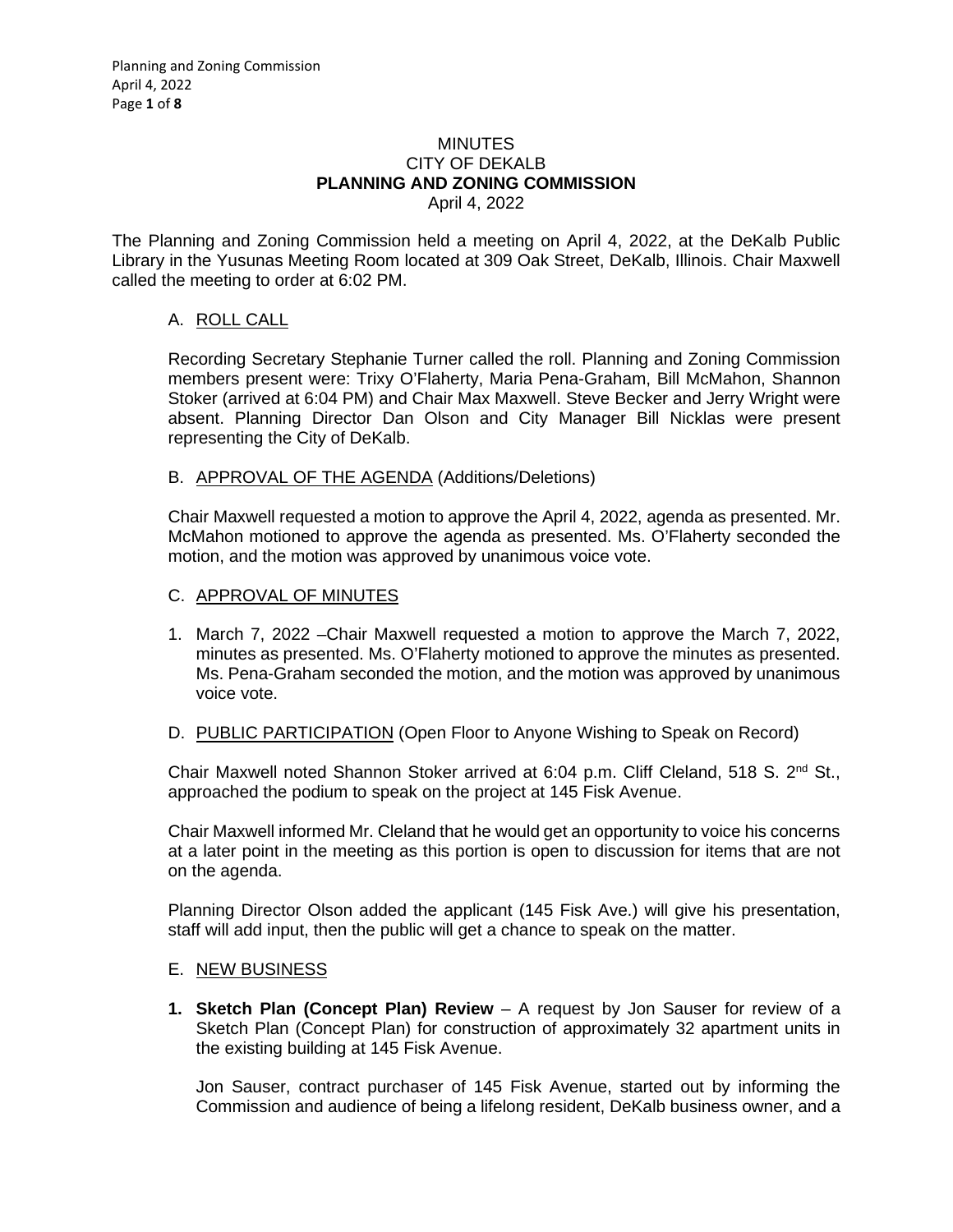#### **MINUTES** CITY OF DEKALB **PLANNING AND ZONING COMMISSION** April 4, 2022

The Planning and Zoning Commission held a meeting on April 4, 2022, at the DeKalb Public Library in the Yusunas Meeting Room located at 309 Oak Street, DeKalb, Illinois. Chair Maxwell called the meeting to order at 6:02 PM.

# A. ROLL CALL

Recording Secretary Stephanie Turner called the roll. Planning and Zoning Commission members present were: Trixy O'Flaherty, Maria Pena-Graham, Bill McMahon, Shannon Stoker (arrived at 6:04 PM) and Chair Max Maxwell. Steve Becker and Jerry Wright were absent. Planning Director Dan Olson and City Manager Bill Nicklas were present representing the City of DeKalb.

### B. APPROVAL OF THE AGENDA (Additions/Deletions)

Chair Maxwell requested a motion to approve the April 4, 2022, agenda as presented. Mr. McMahon motioned to approve the agenda as presented. Ms. O'Flaherty seconded the motion, and the motion was approved by unanimous voice vote.

### C. APPROVAL OF MINUTES

- 1. March 7, 2022 –Chair Maxwell requested a motion to approve the March 7, 2022, minutes as presented. Ms. O'Flaherty motioned to approve the minutes as presented. Ms. Pena-Graham seconded the motion, and the motion was approved by unanimous voice vote.
- D. PUBLIC PARTICIPATION (Open Floor to Anyone Wishing to Speak on Record)

Chair Maxwell noted Shannon Stoker arrived at 6:04 p.m. Cliff Cleland, 518 S. 2<sup>nd</sup> St., approached the podium to speak on the project at 145 Fisk Avenue.

Chair Maxwell informed Mr. Cleland that he would get an opportunity to voice his concerns at a later point in the meeting as this portion is open to discussion for items that are not on the agenda.

Planning Director Olson added the applicant (145 Fisk Ave.) will give his presentation, staff will add input, then the public will get a chance to speak on the matter.

#### E. NEW BUSINESS

**1. Sketch Plan (Concept Plan) Review** – A request by Jon Sauser for review of a Sketch Plan (Concept Plan) for construction of approximately 32 apartment units in the existing building at 145 Fisk Avenue.

Jon Sauser, contract purchaser of 145 Fisk Avenue, started out by informing the Commission and audience of being a lifelong resident, DeKalb business owner, and a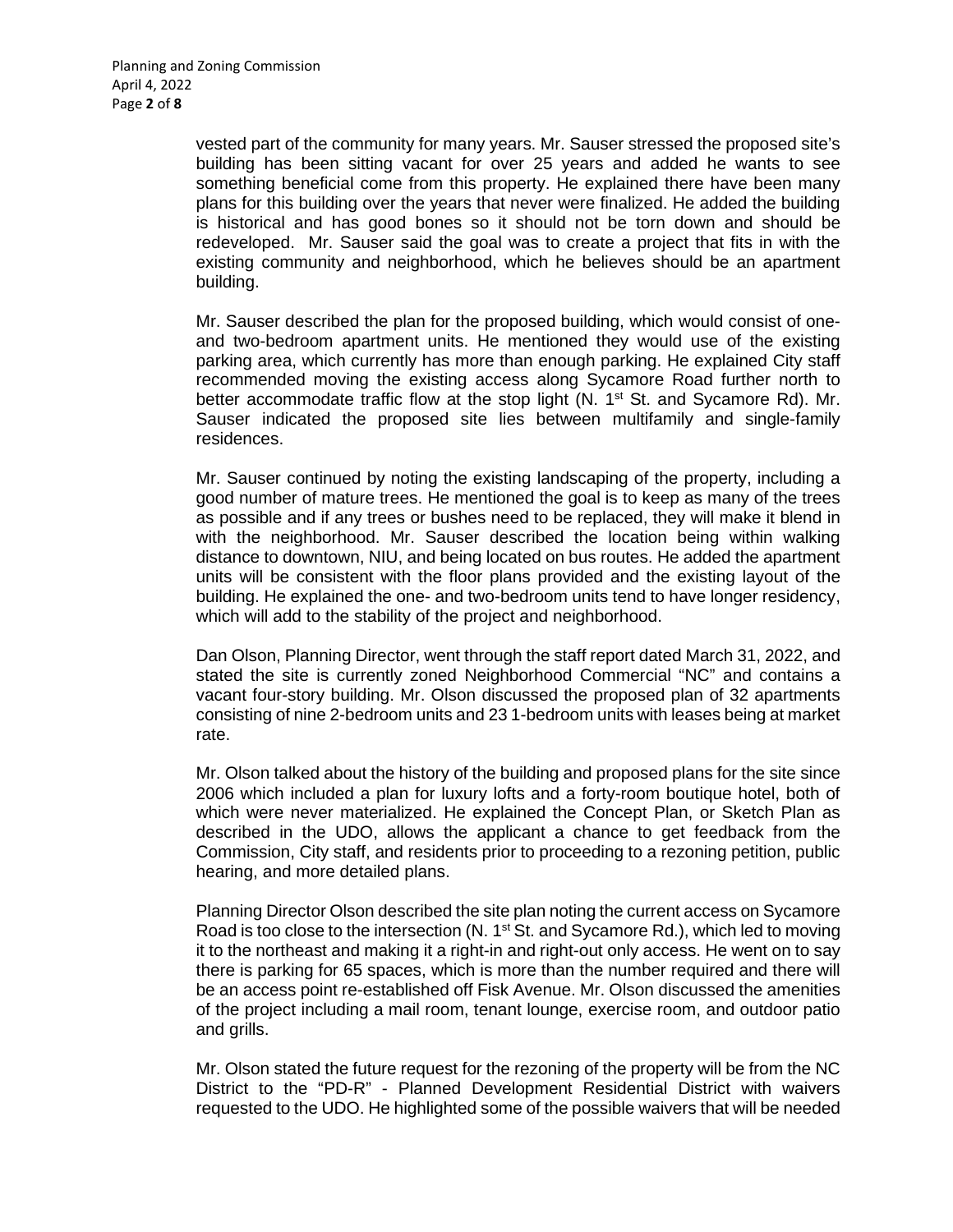vested part of the community for many years. Mr. Sauser stressed the proposed site's building has been sitting vacant for over 25 years and added he wants to see something beneficial come from this property. He explained there have been many plans for this building over the years that never were finalized. He added the building is historical and has good bones so it should not be torn down and should be redeveloped. Mr. Sauser said the goal was to create a project that fits in with the existing community and neighborhood, which he believes should be an apartment building.

Mr. Sauser described the plan for the proposed building, which would consist of oneand two-bedroom apartment units. He mentioned they would use of the existing parking area, which currently has more than enough parking. He explained City staff recommended moving the existing access along Sycamore Road further north to better accommodate traffic flow at the stop light  $(N. 1<sup>st</sup> St.$  and Sycamore Rd). Mr. Sauser indicated the proposed site lies between multifamily and single-family residences.

Mr. Sauser continued by noting the existing landscaping of the property, including a good number of mature trees. He mentioned the goal is to keep as many of the trees as possible and if any trees or bushes need to be replaced, they will make it blend in with the neighborhood. Mr. Sauser described the location being within walking distance to downtown, NIU, and being located on bus routes. He added the apartment units will be consistent with the floor plans provided and the existing layout of the building. He explained the one- and two-bedroom units tend to have longer residency, which will add to the stability of the project and neighborhood.

Dan Olson, Planning Director, went through the staff report dated March 31, 2022, and stated the site is currently zoned Neighborhood Commercial "NC" and contains a vacant four-story building. Mr. Olson discussed the proposed plan of 32 apartments consisting of nine 2-bedroom units and 23 1-bedroom units with leases being at market rate.

Mr. Olson talked about the history of the building and proposed plans for the site since 2006 which included a plan for luxury lofts and a forty-room boutique hotel, both of which were never materialized. He explained the Concept Plan, or Sketch Plan as described in the UDO, allows the applicant a chance to get feedback from the Commission, City staff, and residents prior to proceeding to a rezoning petition, public hearing, and more detailed plans.

Planning Director Olson described the site plan noting the current access on Sycamore Road is too close to the intersection (N. 1<sup>st</sup> St. and Sycamore Rd.), which led to moving it to the northeast and making it a right-in and right-out only access. He went on to say there is parking for 65 spaces, which is more than the number required and there will be an access point re-established off Fisk Avenue. Mr. Olson discussed the amenities of the project including a mail room, tenant lounge, exercise room, and outdoor patio and grills.

Mr. Olson stated the future request for the rezoning of the property will be from the NC District to the "PD-R" - Planned Development Residential District with waivers requested to the UDO. He highlighted some of the possible waivers that will be needed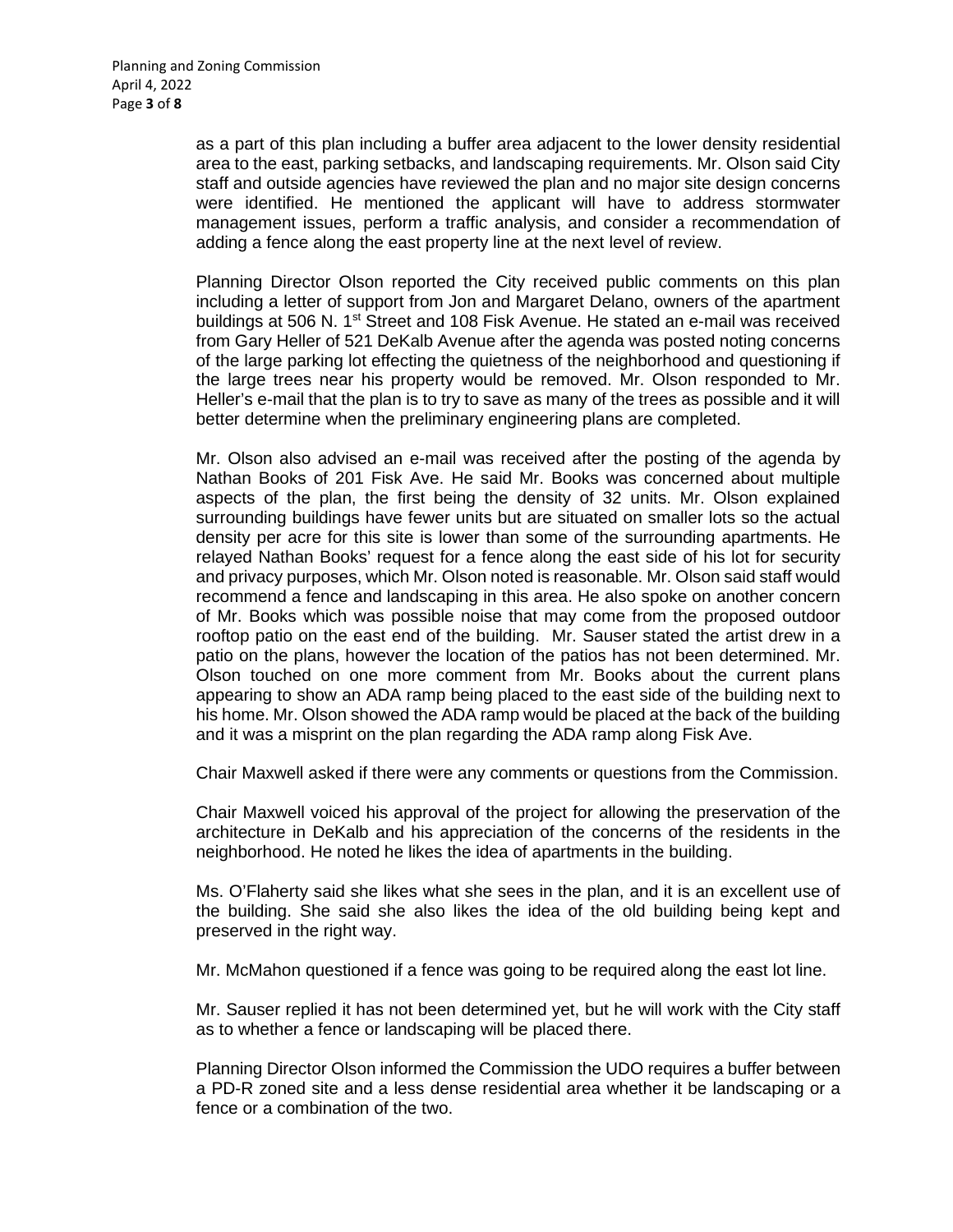as a part of this plan including a buffer area adjacent to the lower density residential area to the east, parking setbacks, and landscaping requirements. Mr. Olson said City staff and outside agencies have reviewed the plan and no major site design concerns were identified. He mentioned the applicant will have to address stormwater management issues, perform a traffic analysis, and consider a recommendation of adding a fence along the east property line at the next level of review.

Planning Director Olson reported the City received public comments on this plan including a letter of support from Jon and Margaret Delano, owners of the apartment buildings at 506 N. 1<sup>st</sup> Street and 108 Fisk Avenue. He stated an e-mail was received from Gary Heller of 521 DeKalb Avenue after the agenda was posted noting concerns of the large parking lot effecting the quietness of the neighborhood and questioning if the large trees near his property would be removed. Mr. Olson responded to Mr. Heller's e-mail that the plan is to try to save as many of the trees as possible and it will better determine when the preliminary engineering plans are completed.

Mr. Olson also advised an e-mail was received after the posting of the agenda by Nathan Books of 201 Fisk Ave. He said Mr. Books was concerned about multiple aspects of the plan, the first being the density of 32 units. Mr. Olson explained surrounding buildings have fewer units but are situated on smaller lots so the actual density per acre for this site is lower than some of the surrounding apartments. He relayed Nathan Books' request for a fence along the east side of his lot for security and privacy purposes, which Mr. Olson noted is reasonable. Mr. Olson said staff would recommend a fence and landscaping in this area. He also spoke on another concern of Mr. Books which was possible noise that may come from the proposed outdoor rooftop patio on the east end of the building. Mr. Sauser stated the artist drew in a patio on the plans, however the location of the patios has not been determined. Mr. Olson touched on one more comment from Mr. Books about the current plans appearing to show an ADA ramp being placed to the east side of the building next to his home. Mr. Olson showed the ADA ramp would be placed at the back of the building and it was a misprint on the plan regarding the ADA ramp along Fisk Ave.

Chair Maxwell asked if there were any comments or questions from the Commission.

Chair Maxwell voiced his approval of the project for allowing the preservation of the architecture in DeKalb and his appreciation of the concerns of the residents in the neighborhood. He noted he likes the idea of apartments in the building.

Ms. O'Flaherty said she likes what she sees in the plan, and it is an excellent use of the building. She said she also likes the idea of the old building being kept and preserved in the right way.

Mr. McMahon questioned if a fence was going to be required along the east lot line.

Mr. Sauser replied it has not been determined yet, but he will work with the City staff as to whether a fence or landscaping will be placed there.

Planning Director Olson informed the Commission the UDO requires a buffer between a PD-R zoned site and a less dense residential area whether it be landscaping or a fence or a combination of the two.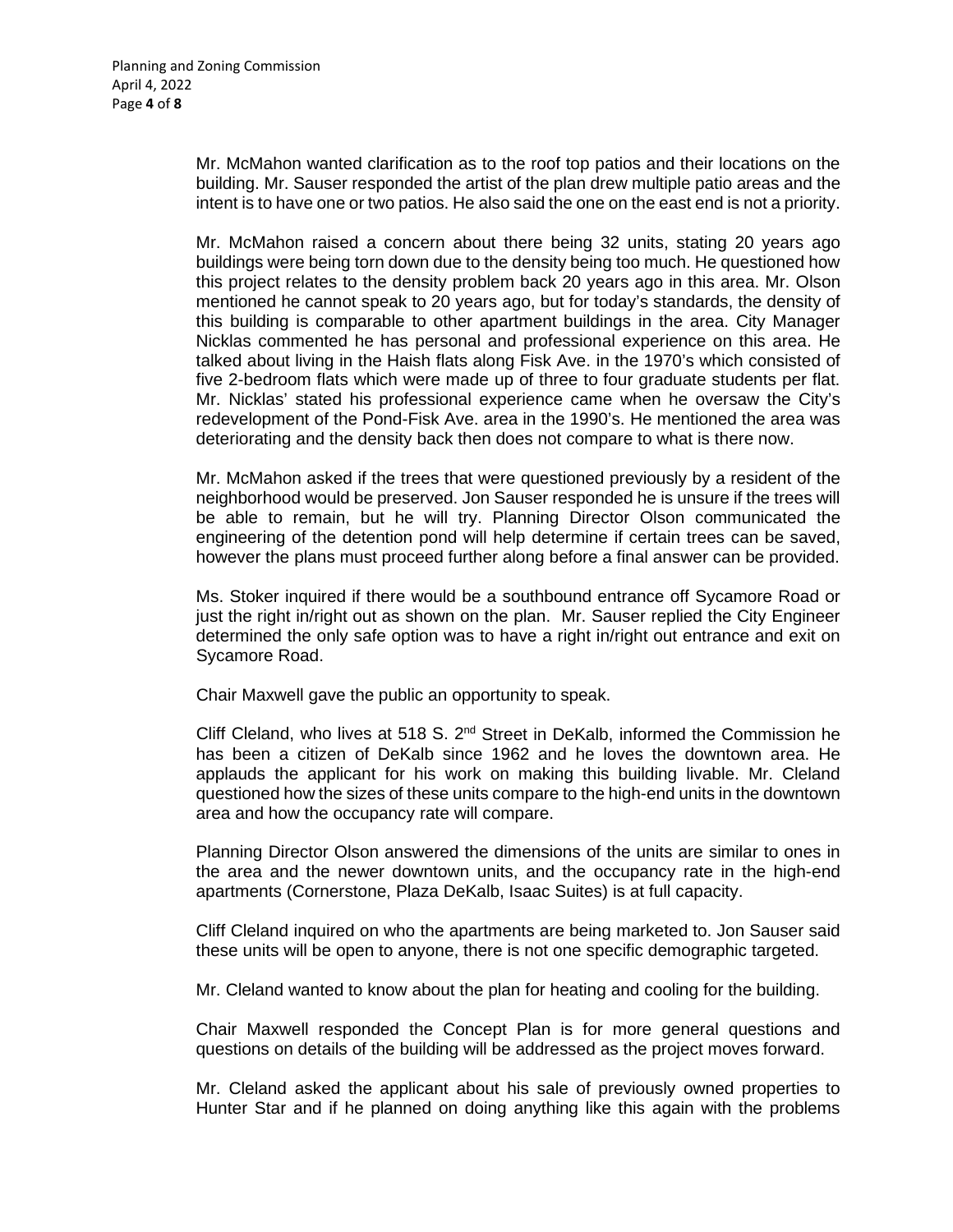Mr. McMahon wanted clarification as to the roof top patios and their locations on the building. Mr. Sauser responded the artist of the plan drew multiple patio areas and the intent is to have one or two patios. He also said the one on the east end is not a priority.

Mr. McMahon raised a concern about there being 32 units, stating 20 years ago buildings were being torn down due to the density being too much. He questioned how this project relates to the density problem back 20 years ago in this area. Mr. Olson mentioned he cannot speak to 20 years ago, but for today's standards, the density of this building is comparable to other apartment buildings in the area. City Manager Nicklas commented he has personal and professional experience on this area. He talked about living in the Haish flats along Fisk Ave. in the 1970's which consisted of five 2-bedroom flats which were made up of three to four graduate students per flat. Mr. Nicklas' stated his professional experience came when he oversaw the City's redevelopment of the Pond-Fisk Ave. area in the 1990's. He mentioned the area was deteriorating and the density back then does not compare to what is there now.

Mr. McMahon asked if the trees that were questioned previously by a resident of the neighborhood would be preserved. Jon Sauser responded he is unsure if the trees will be able to remain, but he will try. Planning Director Olson communicated the engineering of the detention pond will help determine if certain trees can be saved, however the plans must proceed further along before a final answer can be provided.

Ms. Stoker inquired if there would be a southbound entrance off Sycamore Road or just the right in/right out as shown on the plan. Mr. Sauser replied the City Engineer determined the only safe option was to have a right in/right out entrance and exit on Sycamore Road.

Chair Maxwell gave the public an opportunity to speak.

Cliff Cleland, who lives at 518 S.  $2^{nd}$  Street in DeKalb, informed the Commission he has been a citizen of DeKalb since 1962 and he loves the downtown area. He applauds the applicant for his work on making this building livable. Mr. Cleland questioned how the sizes of these units compare to the high-end units in the downtown area and how the occupancy rate will compare.

Planning Director Olson answered the dimensions of the units are similar to ones in the area and the newer downtown units, and the occupancy rate in the high-end apartments (Cornerstone, Plaza DeKalb, Isaac Suites) is at full capacity.

Cliff Cleland inquired on who the apartments are being marketed to. Jon Sauser said these units will be open to anyone, there is not one specific demographic targeted.

Mr. Cleland wanted to know about the plan for heating and cooling for the building.

Chair Maxwell responded the Concept Plan is for more general questions and questions on details of the building will be addressed as the project moves forward.

Mr. Cleland asked the applicant about his sale of previously owned properties to Hunter Star and if he planned on doing anything like this again with the problems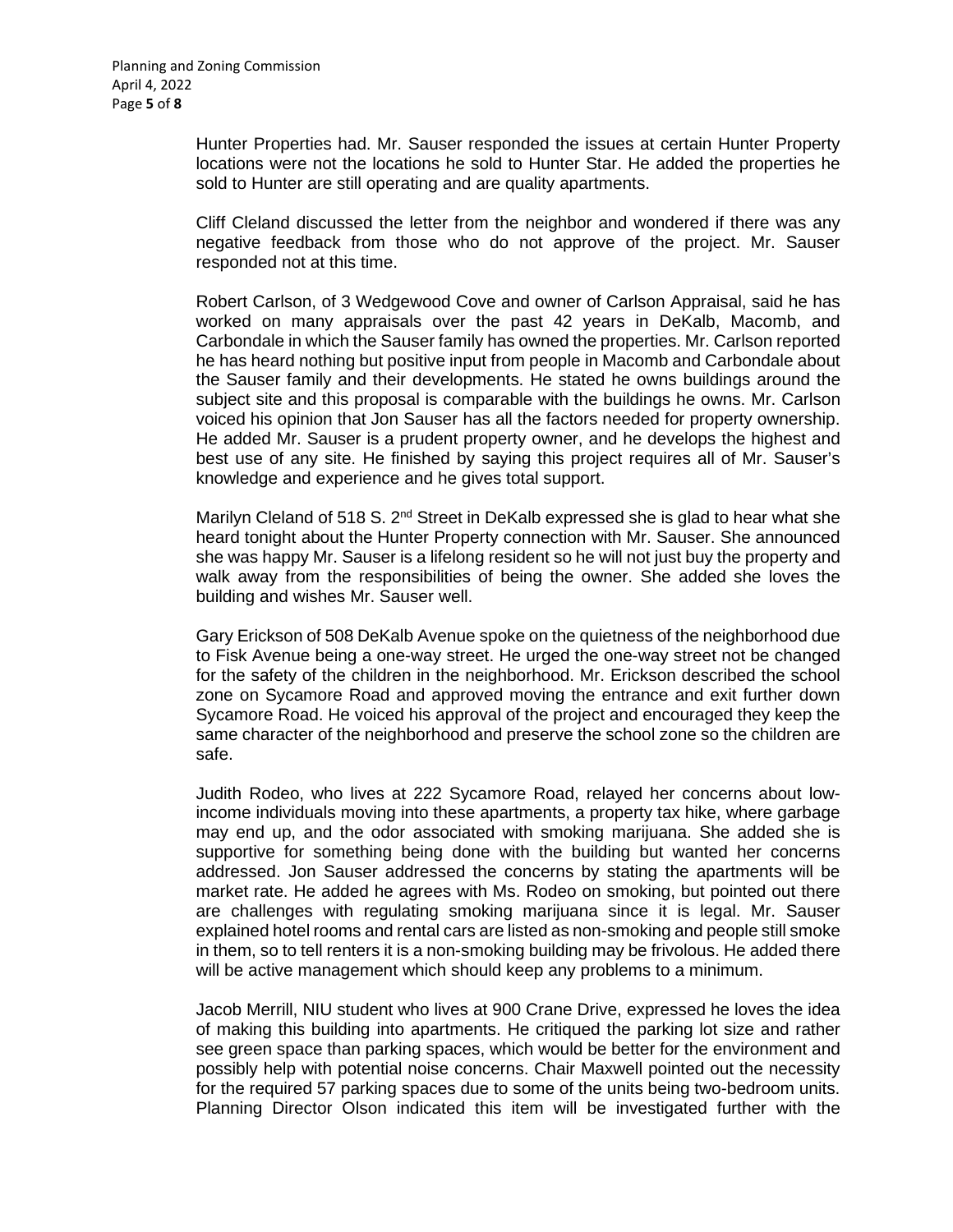Hunter Properties had. Mr. Sauser responded the issues at certain Hunter Property locations were not the locations he sold to Hunter Star. He added the properties he sold to Hunter are still operating and are quality apartments.

Cliff Cleland discussed the letter from the neighbor and wondered if there was any negative feedback from those who do not approve of the project. Mr. Sauser responded not at this time.

Robert Carlson, of 3 Wedgewood Cove and owner of Carlson Appraisal, said he has worked on many appraisals over the past 42 years in DeKalb, Macomb, and Carbondale in which the Sauser family has owned the properties. Mr. Carlson reported he has heard nothing but positive input from people in Macomb and Carbondale about the Sauser family and their developments. He stated he owns buildings around the subject site and this proposal is comparable with the buildings he owns. Mr. Carlson voiced his opinion that Jon Sauser has all the factors needed for property ownership. He added Mr. Sauser is a prudent property owner, and he develops the highest and best use of any site. He finished by saying this project requires all of Mr. Sauser's knowledge and experience and he gives total support.

Marilyn Cleland of 518 S.  $2^{nd}$  Street in DeKalb expressed she is glad to hear what she heard tonight about the Hunter Property connection with Mr. Sauser. She announced she was happy Mr. Sauser is a lifelong resident so he will not just buy the property and walk away from the responsibilities of being the owner. She added she loves the building and wishes Mr. Sauser well.

Gary Erickson of 508 DeKalb Avenue spoke on the quietness of the neighborhood due to Fisk Avenue being a one-way street. He urged the one-way street not be changed for the safety of the children in the neighborhood. Mr. Erickson described the school zone on Sycamore Road and approved moving the entrance and exit further down Sycamore Road. He voiced his approval of the project and encouraged they keep the same character of the neighborhood and preserve the school zone so the children are safe.

Judith Rodeo, who lives at 222 Sycamore Road, relayed her concerns about lowincome individuals moving into these apartments, a property tax hike, where garbage may end up, and the odor associated with smoking marijuana. She added she is supportive for something being done with the building but wanted her concerns addressed. Jon Sauser addressed the concerns by stating the apartments will be market rate. He added he agrees with Ms. Rodeo on smoking, but pointed out there are challenges with regulating smoking marijuana since it is legal. Mr. Sauser explained hotel rooms and rental cars are listed as non-smoking and people still smoke in them, so to tell renters it is a non-smoking building may be frivolous. He added there will be active management which should keep any problems to a minimum.

Jacob Merrill, NIU student who lives at 900 Crane Drive, expressed he loves the idea of making this building into apartments. He critiqued the parking lot size and rather see green space than parking spaces, which would be better for the environment and possibly help with potential noise concerns. Chair Maxwell pointed out the necessity for the required 57 parking spaces due to some of the units being two-bedroom units. Planning Director Olson indicated this item will be investigated further with the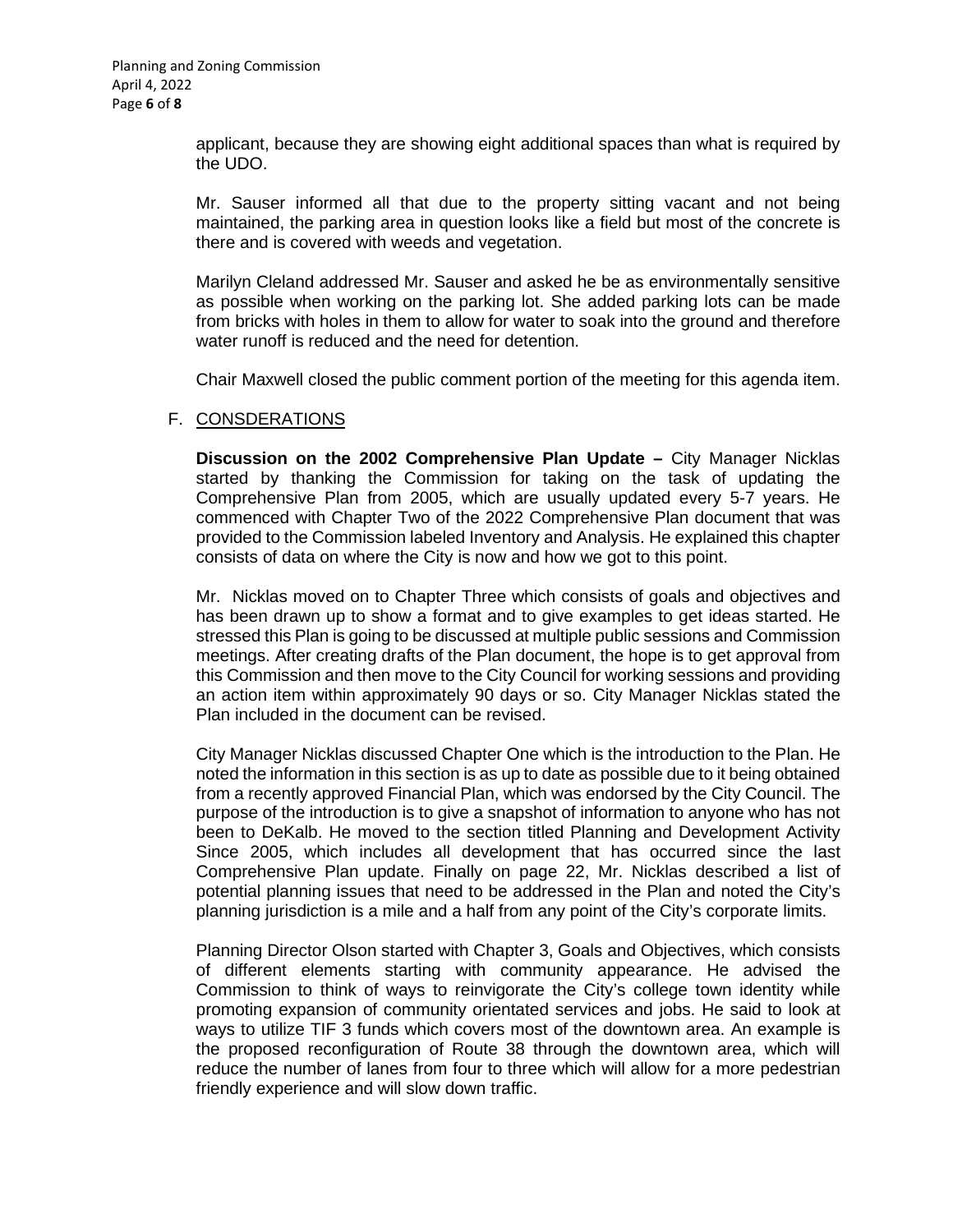applicant, because they are showing eight additional spaces than what is required by the UDO.

Mr. Sauser informed all that due to the property sitting vacant and not being maintained, the parking area in question looks like a field but most of the concrete is there and is covered with weeds and vegetation.

Marilyn Cleland addressed Mr. Sauser and asked he be as environmentally sensitive as possible when working on the parking lot. She added parking lots can be made from bricks with holes in them to allow for water to soak into the ground and therefore water runoff is reduced and the need for detention.

Chair Maxwell closed the public comment portion of the meeting for this agenda item.

#### F. CONSDERATIONS

**Discussion on the 2002 Comprehensive Plan Update –** City Manager Nicklas started by thanking the Commission for taking on the task of updating the Comprehensive Plan from 2005, which are usually updated every 5-7 years. He commenced with Chapter Two of the 2022 Comprehensive Plan document that was provided to the Commission labeled Inventory and Analysis. He explained this chapter consists of data on where the City is now and how we got to this point.

Mr. Nicklas moved on to Chapter Three which consists of goals and objectives and has been drawn up to show a format and to give examples to get ideas started. He stressed this Plan is going to be discussed at multiple public sessions and Commission meetings. After creating drafts of the Plan document, the hope is to get approval from this Commission and then move to the City Council for working sessions and providing an action item within approximately 90 days or so. City Manager Nicklas stated the Plan included in the document can be revised.

City Manager Nicklas discussed Chapter One which is the introduction to the Plan. He noted the information in this section is as up to date as possible due to it being obtained from a recently approved Financial Plan, which was endorsed by the City Council. The purpose of the introduction is to give a snapshot of information to anyone who has not been to DeKalb. He moved to the section titled Planning and Development Activity Since 2005, which includes all development that has occurred since the last Comprehensive Plan update. Finally on page 22, Mr. Nicklas described a list of potential planning issues that need to be addressed in the Plan and noted the City's planning jurisdiction is a mile and a half from any point of the City's corporate limits.

Planning Director Olson started with Chapter 3, Goals and Objectives, which consists of different elements starting with community appearance. He advised the Commission to think of ways to reinvigorate the City's college town identity while promoting expansion of community orientated services and jobs. He said to look at ways to utilize TIF 3 funds which covers most of the downtown area. An example is the proposed reconfiguration of Route 38 through the downtown area, which will reduce the number of lanes from four to three which will allow for a more pedestrian friendly experience and will slow down traffic.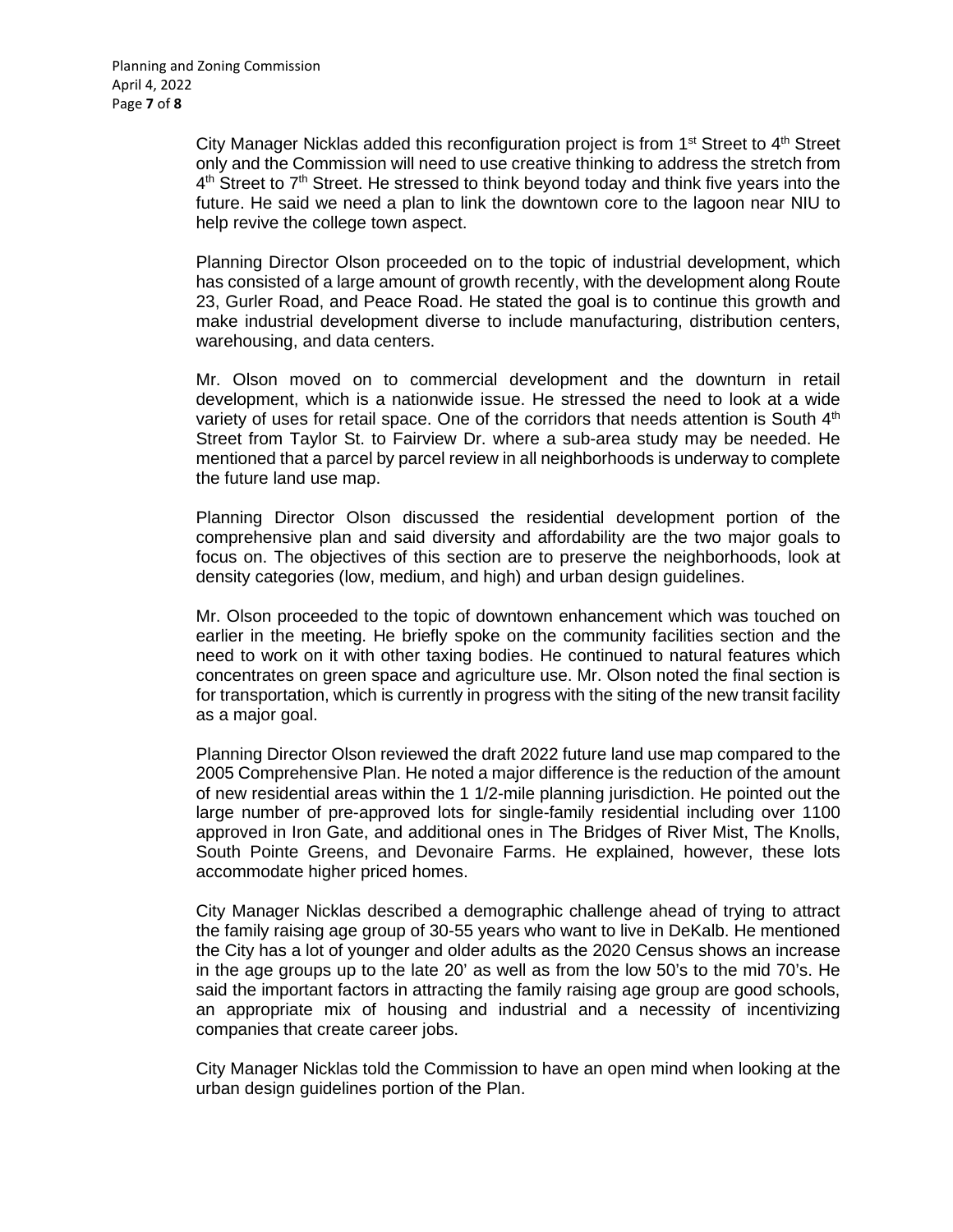City Manager Nicklas added this reconfiguration project is from  $1<sup>st</sup>$  Street to  $4<sup>th</sup>$  Street only and the Commission will need to use creative thinking to address the stretch from  $4<sup>th</sup>$  Street to  $7<sup>th</sup>$  Street. He stressed to think beyond today and think five years into the future. He said we need a plan to link the downtown core to the lagoon near NIU to help revive the college town aspect.

Planning Director Olson proceeded on to the topic of industrial development, which has consisted of a large amount of growth recently, with the development along Route 23, Gurler Road, and Peace Road. He stated the goal is to continue this growth and make industrial development diverse to include manufacturing, distribution centers, warehousing, and data centers.

Mr. Olson moved on to commercial development and the downturn in retail development, which is a nationwide issue. He stressed the need to look at a wide variety of uses for retail space. One of the corridors that needs attention is South  $4<sup>th</sup>$ Street from Taylor St. to Fairview Dr. where a sub-area study may be needed. He mentioned that a parcel by parcel review in all neighborhoods is underway to complete the future land use map.

Planning Director Olson discussed the residential development portion of the comprehensive plan and said diversity and affordability are the two major goals to focus on. The objectives of this section are to preserve the neighborhoods, look at density categories (low, medium, and high) and urban design guidelines.

Mr. Olson proceeded to the topic of downtown enhancement which was touched on earlier in the meeting. He briefly spoke on the community facilities section and the need to work on it with other taxing bodies. He continued to natural features which concentrates on green space and agriculture use. Mr. Olson noted the final section is for transportation, which is currently in progress with the siting of the new transit facility as a major goal.

Planning Director Olson reviewed the draft 2022 future land use map compared to the 2005 Comprehensive Plan. He noted a major difference is the reduction of the amount of new residential areas within the 1 1/2-mile planning jurisdiction. He pointed out the large number of pre-approved lots for single-family residential including over 1100 approved in Iron Gate, and additional ones in The Bridges of River Mist, The Knolls, South Pointe Greens, and Devonaire Farms. He explained, however, these lots accommodate higher priced homes.

City Manager Nicklas described a demographic challenge ahead of trying to attract the family raising age group of 30-55 years who want to live in DeKalb. He mentioned the City has a lot of younger and older adults as the 2020 Census shows an increase in the age groups up to the late 20' as well as from the low 50's to the mid 70's. He said the important factors in attracting the family raising age group are good schools, an appropriate mix of housing and industrial and a necessity of incentivizing companies that create career jobs.

City Manager Nicklas told the Commission to have an open mind when looking at the urban design guidelines portion of the Plan.